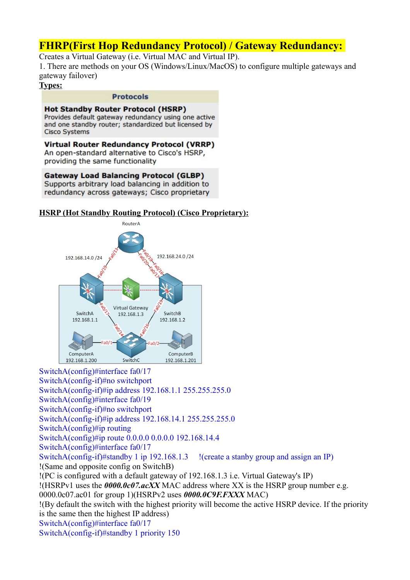# **FHRP(First Hop Redundancy Protocol) / Gateway Redundancy:**

Creates a Virtual Gateway (i.e. Virtual MAC and Virtual IP).

1. There are methods on your OS (Windows/Linux/MacOS) to configure multiple gateways and gateway failover)

**Types:**

### **Protocols**

**Hot Standby Router Protocol (HSRP)** Provides default gateway redundancy using one active and one standby router; standardized but licensed by **Cisco Systems** 

**Virtual Router Redundancy Protocol (VRRP)** An open-standard alternative to Cisco's HSRP, providing the same functionality

**Gateway Load Balancing Protocol (GLBP)** Supports arbitrary load balancing in addition to redundancy across gateways; Cisco proprietary

### **HSRP (Hot Standby Routing Protocol) (Cisco Proprietary):**



SwitchA(config)#interface fa0/17 SwitchA(config-if)#no switchport SwitchA(config-if)#ip address 192.168.1.1 255.255.255.0 SwitchA(config)#interface fa0/19 SwitchA(config-if)#no switchport SwitchA(config-if)#ip address 192.168.14.1 255.255.255.0 SwitchA(config)#ip routing SwitchA(config)#ip route 0.0.0.0 0.0.0.0 192.168.14.4 SwitchA(config)#interface fa0/17 SwitchA(config-if)#standby 1 ip 192.168.1.3 !(create a stanby group and assign an IP) !(Same and opposite config on SwitchB) !(PC is configured with a default gateway of 192.168.1.3 i.e. Virtual Gateway's IP) !(HSRPv1 uses the *0000.0c07.acXX* MAC address where XX is the HSRP group number e.g. 0000.0c07.ac01 for group 1)(HSRPv2 uses *0000.0C9F.FXXX* MAC) !(By default the switch with the highest priority will become the active HSRP device. If the priority is the same then the highest IP address) SwitchA(config)#interface fa0/17 SwitchA(config-if)#standby 1 priority 150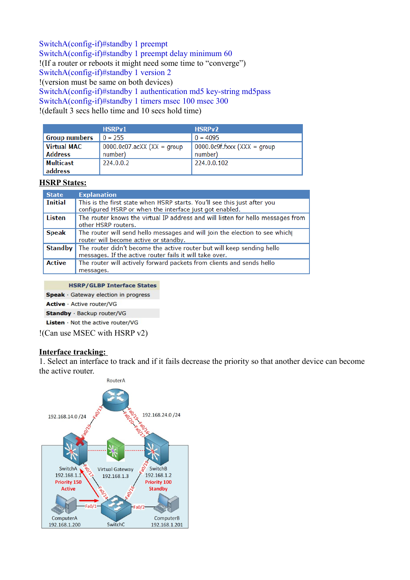SwitchA(config-if)#standby 1 preempt SwitchA(config-if)#standby 1 preempt delay minimum 60 !(If a router or reboots it might need some time to "converge") SwitchA(config-if)#standby 1 version 2 !(version must be same on both devices) SwitchA(config-if)#standby 1 authentication md5 key-string md5pass SwitchA(config-if)#standby 1 timers msec 100 msec 300 !(default 3 secs hello time and 10 secs hold time)

|                                      | <b>HSRPv1</b>                            | HSRPv2                                         |
|--------------------------------------|------------------------------------------|------------------------------------------------|
| <b>Group numbers</b>                 | $0 - 255$                                | $0 - 4095$                                     |
| <b>Virtual MAC</b><br><b>Address</b> | $0000.0c07$ .acXX (XX = group<br>number) | $\vert$ 0000.0c9f.fxxx (XXX = group<br>number) |
| Multicast<br>address                 | 224.0.0.2                                | 224.0.0.102                                    |

### **HSRP States:**

| <b>State</b>   | <b>Explanation</b>                                                                                                                  |
|----------------|-------------------------------------------------------------------------------------------------------------------------------------|
| <b>Initial</b> | This is the first state when HSRP starts. You'll see this just after you<br>configured HSRP or when the interface just got enabled. |
| Listen         | The router knows the virtual IP address and will listen for hello messages from<br>other HSRP routers.                              |
| <b>Speak</b>   | The router will send hello messages and will join the election to see which<br>router will become active or standby.                |
| Standby        | The router didn't become the active router but will keep sending hello<br>messages. If the active router fails it will take over.   |
| <b>Active</b>  | The router will actively forward packets from clients and sends hello<br>messages.                                                  |

**HSRP/GLBP Interface States** 

Speak · Gateway election in progress

Active · Active router/VG

Standby · Backup router/VG

Listen · Not the active router/VG

!(Can use MSEC with HSRP v2)

### **Interface tracking:**

1. Select an interface to track and if it fails decrease the priority so that another device can become the active router.

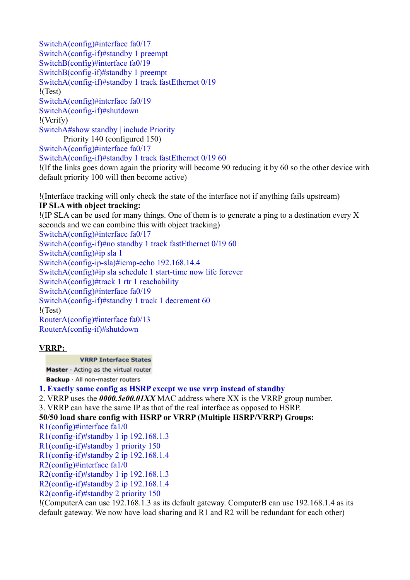SwitchA(config)#interface fa0/17 SwitchA(config-if)#standby 1 preempt SwitchB(config)#interface fa0/19 SwitchB(config-if)#standby 1 preempt SwitchA(config-if)#standby 1 track fastEthernet 0/19 !(Test) SwitchA(config)#interface fa0/19 SwitchA(config-if)#shutdown !(Verify) SwitchA#show standby | include Priority Priority 140 (configured 150) SwitchA(config)#interface fa0/17

SwitchA(config-if)#standby 1 track fastEthernet 0/19 60

!(If the links goes down again the priority will become 90 reducing it by 60 so the other device with default priority 100 will then become active)

!(Interface tracking will only check the state of the interface not if anything fails upstream) **IP SLA with object tracking:**

!(IP SLA can be used for many things. One of them is to generate a ping to a destination every X seconds and we can combine this with object tracking) SwitchA(config)#interface fa0/17 SwitchA(config-if)#no standby 1 track fastEthernet 0/19 60 SwitchA(config)#ip sla 1 SwitchA(config-ip-sla)#icmp-echo 192.168.14.4 SwitchA(config)#ip sla schedule 1 start-time now life forever SwitchA(config)#track 1 rtr 1 reachability SwitchA(config)#interface fa0/19 SwitchA(config-if)#standby 1 track 1 decrement 60 !(Test) RouterA(config)#interface fa0/13 RouterA(config-if)#shutdown

### **VRRP:**

#### **VRRP Interface States**

Master · Acting as the virtual router

Backup · All non-master routers

### **1. Exactly same config as HSRP except we use vrrp instead of standby**

2. VRRP uses the *0000.5e00.01XX* MAC address where XX is the VRRP group number.

3. VRRP can have the same IP as that of the real interface as opposed to HSRP.

### **50/50 load share config with HSRP or VRRP (Multiple HSRP/VRRP) Groups:**

R1(config)#interface fa1/0

R1(config-if)#standby 1 ip 192.168.1.3

R1(config-if)#standby 1 priority 150

R1(config-if)#standby 2 ip 192.168.1.4

R2(config)#interface fa1/0

R2(config-if)#standby 1 ip 192.168.1.3

R2(config-if)#standby 2 ip 192.168.1.4

R2(config-if)#standby 2 priority 150

!(ComputerA can use 192.168.1.3 as its default gateway. ComputerB can use 192.168.1.4 as its default gateway. We now have load sharing and R1 and R2 will be redundant for each other)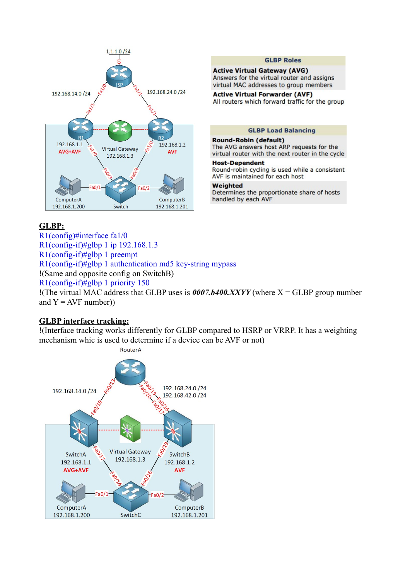

### **GLBP:**

R1(config)#interface fa1/0 R1(config-if)#glbp 1 ip 192.168.1.3 R1(config-if)#glbp 1 preempt R1(config-if)#glbp 1 authentication md5 key-string mypass !(Same and opposite config on SwitchB) R1(config-if)#glbp 1 priority 150 !(The virtual MAC address that GLBP uses is *0007.b400.XXYY* (where X = GLBP group number and  $Y = AVF$  number))

## **GLBP interface tracking:**

!(Interface tracking works differently for GLBP compared to HSRP or VRRP. It has a weighting mechanism whic is used to determine if a device can be AVF or not)



**GLBP Roles** 

**Active Virtual Gateway (AVG)** Answers for the virtual router and assigns virtual MAC addresses to group members

**Active Virtual Forwarder (AVF)** All routers which forward traffic for the group

#### **GLBP Load Balancing**

#### **Round-Robin (default)**

The AVG answers host ARP requests for the virtual router with the next router in the cycle

#### **Host-Dependent**

Round-robin cycling is used while a consistent AVF is maintained for each host

#### Weighted

Determines the proportionate share of hosts handled by each AVF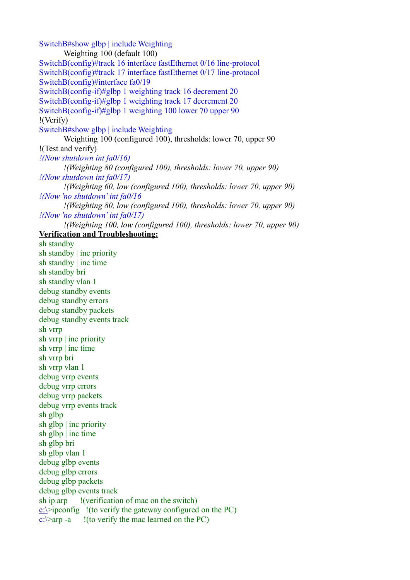SwitchB#show glbp | include Weighting Weighting 100 (default 100) SwitchB(config)#track 16 interface fastEthernet 0/16 line-protocol SwitchB(config)#track 17 interface fastEthernet 0/17 line-protocol SwitchB(config)#interface fa0/19 SwitchB(config-if)#glbp 1 weighting track 16 decrement 20 SwitchB(config-if)#glbp 1 weighting track 17 decrement 20 SwitchB(config-if)#glbp 1 weighting 100 lower 70 upper 90 !(Verify) SwitchB#show glbp | include Weighting Weighting 100 (configured 100), thresholds: lower 70, upper 90 !(Test and verify) *!(Now shutdown int fa0/16) !(Weighting 80 (configured 100), thresholds: lower 70, upper 90) !(Now shutdown int fa0/17) !(Weighting 60, low (configured 100), thresholds: lower 70, upper 90) !(Now 'no shutdown' int fa0/16 !(Weighting 80, low (configured 100), thresholds: lower 70, upper 90) !(Now 'no shutdown' int fa0/17) !(Weighting 100, low (configured 100), thresholds: lower 70, upper 90)* **Verification and Troubleshooting:** sh standby sh standby | inc priority sh standby | inc time sh standby bri sh standby vlan 1 debug standby events debug standby errors debug standby packets debug standby events track sh vrrp sh vrrp | inc priority sh vrrp | inc time sh vrrp bri sh vrrp vlan 1 debug vrrp events debug vrrp errors debug vrrp packets debug vrrp events track sh glbp sh glbp | inc priority sh glbp | inc time sh glbp bri sh glbp vlan 1 debug glbp events debug glbp errors debug glbp packets debug glbp events track sh ip arp !(verification of mac on the switch)  $c:\rightarrow$ ipconfig !(to verify the gateway configured on the PC)  $c:\rangle$  arp -a !(to verify the mac learned on the PC)